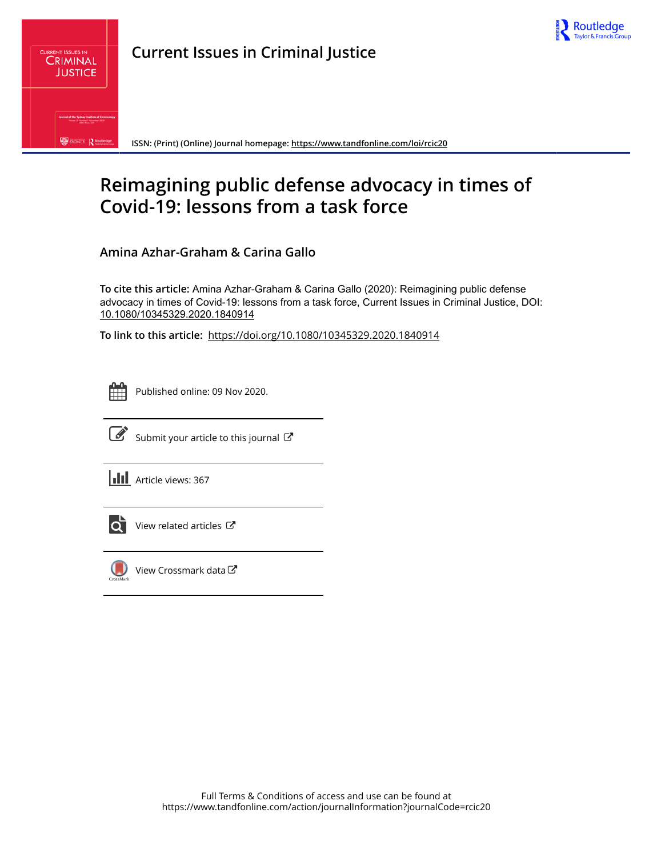



**Current Issues in Criminal Justice**

**ISSN: (Print) (Online) Journal homepage:<https://www.tandfonline.com/loi/rcic20>**

# **Reimagining public defense advocacy in times of Covid-19: lessons from a task force**

**Amina Azhar-Graham & Carina Gallo**

**To cite this article:** Amina Azhar-Graham & Carina Gallo (2020): Reimagining public defense advocacy in times of Covid-19: lessons from a task force, Current Issues in Criminal Justice, DOI: [10.1080/10345329.2020.1840914](https://www.tandfonline.com/action/showCitFormats?doi=10.1080/10345329.2020.1840914)

**To link to this article:** <https://doi.org/10.1080/10345329.2020.1840914>



Published online: 09 Nov 2020.



 $\overrightarrow{S}$  [Submit your article to this journal](https://www.tandfonline.com/action/authorSubmission?journalCode=rcic20&show=instructions)  $\overrightarrow{S}$ 

**III** Article views: 367



[View related articles](https://www.tandfonline.com/doi/mlt/10.1080/10345329.2020.1840914)  $\mathbb{Z}$ 



[View Crossmark data](http://crossmark.crossref.org/dialog/?doi=10.1080/10345329.2020.1840914&domain=pdf&date_stamp=2020-11-09)<sup>で</sup>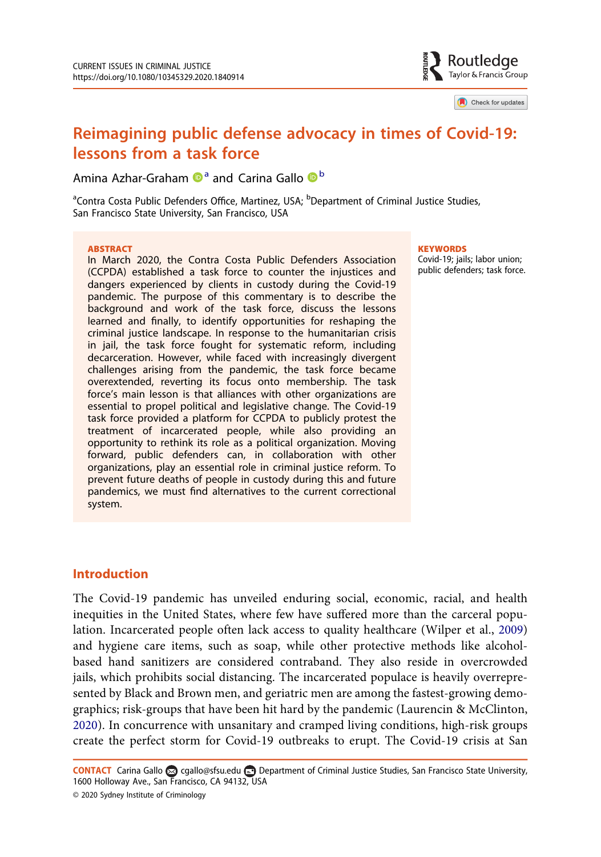

Check for updates

# Reimagining public defense advocacy in times of Covid-19: lessons from a task force

## Amina Azhar-Graham <sup>a</sup> and Carina Gallo <sup>b</sup>

<sup>a</sup>Contra Costa Public Defenders Office, Martinez, USA; <sup>b</sup>Department of Criminal Justice Studies, San Francisco State University, San Francisco, USA

#### **ARSTRACT**

In March 2020, the Contra Costa Public Defenders Association (CCPDA) established a task force to counter the injustices and dangers experienced by clients in custody during the Covid-19 pandemic. The purpose of this commentary is to describe the background and work of the task force, discuss the lessons learned and finally, to identify opportunities for reshaping the criminal justice landscape. In response to the humanitarian crisis in jail, the task force fought for systematic reform, including decarceration. However, while faced with increasingly divergent challenges arising from the pandemic, the task force became overextended, reverting its focus onto membership. The task force's main lesson is that alliances with other organizations are essential to propel political and legislative change. The Covid-19 task force provided a platform for CCPDA to publicly protest the treatment of incarcerated people, while also providing an opportunity to rethink its role as a political organization. Moving forward, public defenders can, in collaboration with other organizations, play an essential role in criminal justice reform. To prevent future deaths of people in custody during this and future pandemics, we must find alternatives to the current correctional system.

#### **KEYWORDS**

Covid-19; jails; labor union; public defenders; task force.

#### **Introduction**

<span id="page-1-1"></span>The Covid-19 pandemic has unveiled enduring social, economic, racial, and health inequities in the United States, where few have suffered more than the carceral population. Incarcerated people often lack access to quality healthcare (Wilper et al., [2009\)](#page-5-0) and hygiene care items, such as soap, while other protective methods like alcoholbased hand sanitizers are considered contraband. They also reside in overcrowded jails, which prohibits social distancing. The incarcerated populace is heavily overrepresented by Black and Brown men, and geriatric men are among the fastest-growing demographics; risk-groups that have been hit hard by the pandemic (Laurencin & McClinton, [2020](#page-5-1)). In concurrence with unsanitary and cramped living conditions, high-risk groups create the perfect storm for Covid-19 outbreaks to erupt. The Covid-19 crisis at San

<span id="page-1-0"></span>CONTACT Carina Gallo @ [cgallo@sfsu.edu](mailto:cgallo@sfsu.edu) Department of Criminal Justice Studies, San Francisco State University, 1600 Holloway Ave., San Francisco, CA 94132, USA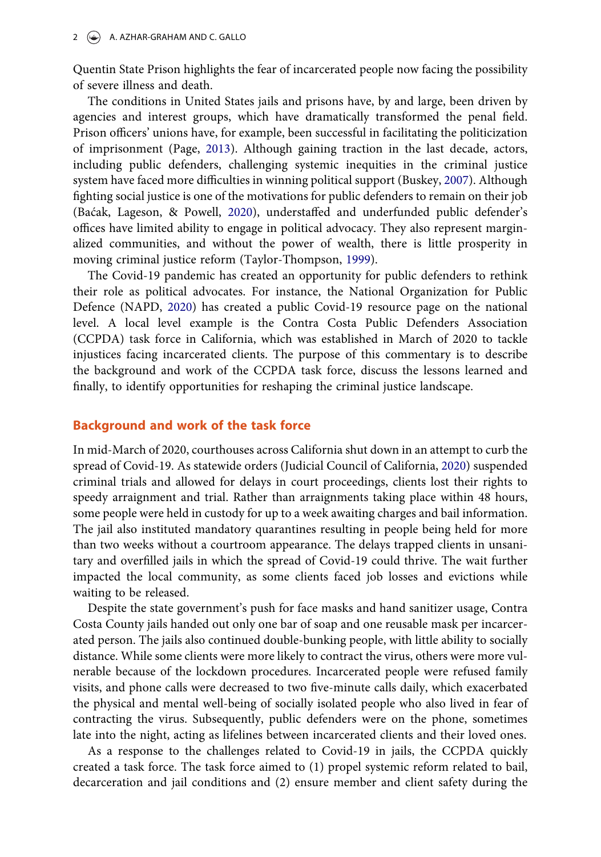Quentin State Prison highlights the fear of incarcerated people now facing the possibility of severe illness and death.

<span id="page-2-3"></span><span id="page-2-1"></span>The conditions in United States jails and prisons have, by and large, been driven by agencies and interest groups, which have dramatically transformed the penal field. Prison officers' unions have, for example, been successful in facilitating the politicization of imprisonment (Page, [2013](#page-5-2)). Although gaining traction in the last decade, actors, including public defenders, challenging systemic inequities in the criminal justice system have faced more difficulties in winning political support (Buskey, [2007\)](#page-5-3). Although fighting social justice is one of the motivations for public defenders to remain on their job (Baćak, Lageson, & Powell, [2020](#page-5-4)), understaffed and underfunded public defender's offices have limited ability to engage in political advocacy. They also represent marginalized communities, and without the power of wealth, there is little prosperity in moving criminal justice reform (Taylor-Thompson, [1999](#page-5-5)).

<span id="page-2-5"></span><span id="page-2-2"></span><span id="page-2-0"></span>The Covid-19 pandemic has created an opportunity for public defenders to rethink their role as political advocates. For instance, the National Organization for Public Defence (NAPD, [2020\)](#page-5-6) has created a public Covid-19 resource page on the national level. A local level example is the Contra Costa Public Defenders Association (CCPDA) task force in California, which was established in March of 2020 to tackle injustices facing incarcerated clients. The purpose of this commentary is to describe the background and work of the CCPDA task force, discuss the lessons learned and finally, to identify opportunities for reshaping the criminal justice landscape.

#### Background and work of the task force

<span id="page-2-4"></span>In mid-March of 2020, courthouses across California shut down in an attempt to curb the spread of Covid-19. As statewide orders (Judicial Council of California, [2020\)](#page-5-7) suspended criminal trials and allowed for delays in court proceedings, clients lost their rights to speedy arraignment and trial. Rather than arraignments taking place within 48 hours, some people were held in custody for up to a week awaiting charges and bail information. The jail also instituted mandatory quarantines resulting in people being held for more than two weeks without a courtroom appearance. The delays trapped clients in unsanitary and overfilled jails in which the spread of Covid-19 could thrive. The wait further impacted the local community, as some clients faced job losses and evictions while waiting to be released.

Despite the state government's push for face masks and hand sanitizer usage, Contra Costa County jails handed out only one bar of soap and one reusable mask per incarcerated person. The jails also continued double-bunking people, with little ability to socially distance. While some clients were more likely to contract the virus, others were more vulnerable because of the lockdown procedures. Incarcerated people were refused family visits, and phone calls were decreased to two five-minute calls daily, which exacerbated the physical and mental well-being of socially isolated people who also lived in fear of contracting the virus. Subsequently, public defenders were on the phone, sometimes late into the night, acting as lifelines between incarcerated clients and their loved ones.

As a response to the challenges related to Covid-19 in jails, the CCPDA quickly created a task force. The task force aimed to (1) propel systemic reform related to bail, decarceration and jail conditions and (2) ensure member and client safety during the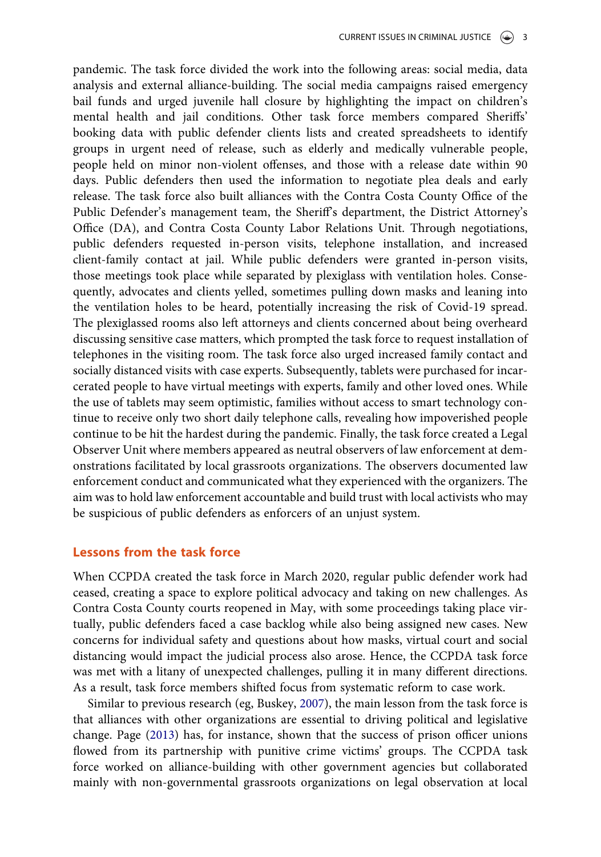pandemic. The task force divided the work into the following areas: social media, data analysis and external alliance-building. The social media campaigns raised emergency bail funds and urged juvenile hall closure by highlighting the impact on children's mental health and jail conditions. Other task force members compared Sheriffs' booking data with public defender clients lists and created spreadsheets to identify groups in urgent need of release, such as elderly and medically vulnerable people, people held on minor non-violent offenses, and those with a release date within 90 days. Public defenders then used the information to negotiate plea deals and early release. The task force also built alliances with the Contra Costa County Office of the Public Defender's management team, the Sheriff's department, the District Attorney's Office (DA), and Contra Costa County Labor Relations Unit. Through negotiations, public defenders requested in-person visits, telephone installation, and increased client-family contact at jail. While public defenders were granted in-person visits, those meetings took place while separated by plexiglass with ventilation holes. Consequently, advocates and clients yelled, sometimes pulling down masks and leaning into the ventilation holes to be heard, potentially increasing the risk of Covid-19 spread. The plexiglassed rooms also left attorneys and clients concerned about being overheard discussing sensitive case matters, which prompted the task force to request installation of telephones in the visiting room. The task force also urged increased family contact and socially distanced visits with case experts. Subsequently, tablets were purchased for incarcerated people to have virtual meetings with experts, family and other loved ones. While the use of tablets may seem optimistic, families without access to smart technology continue to receive only two short daily telephone calls, revealing how impoverished people continue to be hit the hardest during the pandemic. Finally, the task force created a Legal Observer Unit where members appeared as neutral observers of law enforcement at demonstrations facilitated by local grassroots organizations. The observers documented law enforcement conduct and communicated what they experienced with the organizers. The aim was to hold law enforcement accountable and build trust with local activists who may be suspicious of public defenders as enforcers of an unjust system.

#### Lessons from the task force

When CCPDA created the task force in March 2020, regular public defender work had ceased, creating a space to explore political advocacy and taking on new challenges. As Contra Costa County courts reopened in May, with some proceedings taking place virtually, public defenders faced a case backlog while also being assigned new cases. New concerns for individual safety and questions about how masks, virtual court and social distancing would impact the judicial process also arose. Hence, the CCPDA task force was met with a litany of unexpected challenges, pulling it in many different directions. As a result, task force members shifted focus from systematic reform to case work.

Similar to previous research (eg, Buskey, [2007](#page-5-3)), the main lesson from the task force is that alliances with other organizations are essential to driving political and legislative change. Page [\(2013](#page-5-2)) has, for instance, shown that the success of prison officer unions flowed from its partnership with punitive crime victims' groups. The CCPDA task force worked on alliance-building with other government agencies but collaborated mainly with non-governmental grassroots organizations on legal observation at local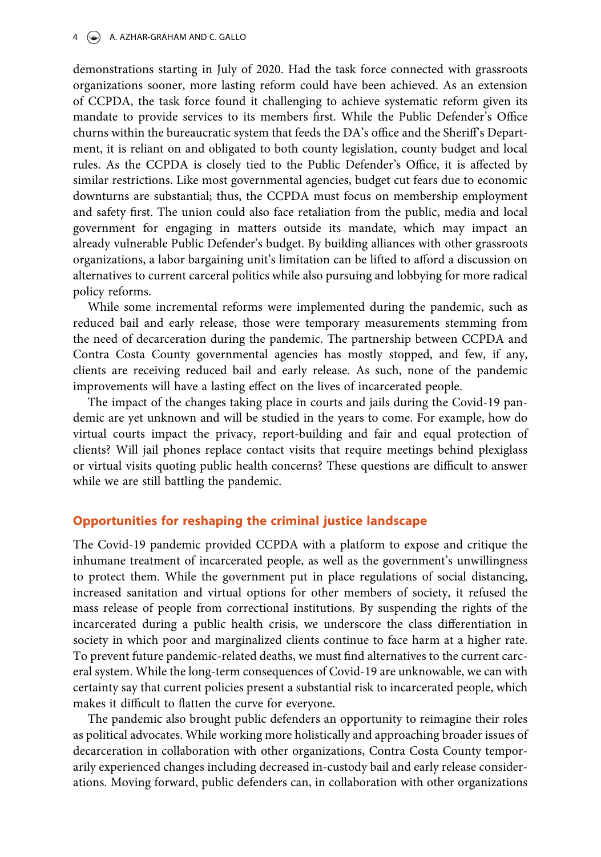#### 4  $\leftarrow$  A. AZHAR-GRAHAM AND C. GALLO

demonstrations starting in July of 2020. Had the task force connected with grassroots organizations sooner, more lasting reform could have been achieved. As an extension of CCPDA, the task force found it challenging to achieve systematic reform given its mandate to provide services to its members first. While the Public Defender's Office churns within the bureaucratic system that feeds the DA's office and the Sheriff's Department, it is reliant on and obligated to both county legislation, county budget and local rules. As the CCPDA is closely tied to the Public Defender's Office, it is affected by similar restrictions. Like most governmental agencies, budget cut fears due to economic downturns are substantial; thus, the CCPDA must focus on membership employment and safety first. The union could also face retaliation from the public, media and local government for engaging in matters outside its mandate, which may impact an already vulnerable Public Defender's budget. By building alliances with other grassroots organizations, a labor bargaining unit's limitation can be lifted to afford a discussion on alternatives to current carceral politics while also pursuing and lobbying for more radical policy reforms.

While some incremental reforms were implemented during the pandemic, such as reduced bail and early release, those were temporary measurements stemming from the need of decarceration during the pandemic. The partnership between CCPDA and Contra Costa County governmental agencies has mostly stopped, and few, if any, clients are receiving reduced bail and early release. As such, none of the pandemic improvements will have a lasting effect on the lives of incarcerated people.

The impact of the changes taking place in courts and jails during the Covid-19 pandemic are yet unknown and will be studied in the years to come. For example, how do virtual courts impact the privacy, report-building and fair and equal protection of clients? Will jail phones replace contact visits that require meetings behind plexiglass or virtual visits quoting public health concerns? These questions are difficult to answer while we are still battling the pandemic.

### Opportunities for reshaping the criminal justice landscape

The Covid-19 pandemic provided CCPDA with a platform to expose and critique the inhumane treatment of incarcerated people, as well as the government's unwillingness to protect them. While the government put in place regulations of social distancing, increased sanitation and virtual options for other members of society, it refused the mass release of people from correctional institutions. By suspending the rights of the incarcerated during a public health crisis, we underscore the class differentiation in society in which poor and marginalized clients continue to face harm at a higher rate. To prevent future pandemic-related deaths, we must find alternatives to the current carceral system. While the long-term consequences of Covid-19 are unknowable, we can with certainty say that current policies present a substantial risk to incarcerated people, which makes it difficult to flatten the curve for everyone.

The pandemic also brought public defenders an opportunity to reimagine their roles as political advocates. While working more holistically and approaching broader issues of decarceration in collaboration with other organizations, Contra Costa County temporarily experienced changes including decreased in-custody bail and early release considerations. Moving forward, public defenders can, in collaboration with other organizations